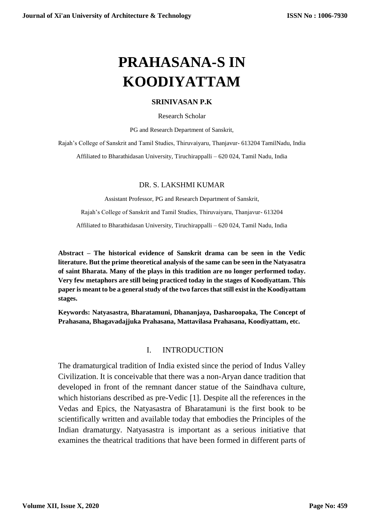# **PRAHASANA-S IN KOODIYATTAM**

#### **SRINIVASAN P.K**

Research Scholar

PG and Research Department of Sanskrit,

Rajah's College of Sanskrit and Tamil Studies, Thiruvaiyaru, Thanjavur- 613204 TamilNadu, India

Affiliated to Bharathidasan University, Tiruchirappalli – 620 024, Tamil Nadu, India

#### DR. S. LAKSHMI KUMAR

Assistant Professor, PG and Research Department of Sanskrit,

Rajah's College of Sanskrit and Tamil Studies, Thiruvaiyaru, Thanjavur- 613204

Affiliated to Bharathidasan University, Tiruchirappalli – 620 024, Tamil Nadu, India

**Abstract – The historical evidence of Sanskrit drama can be seen in the Vedic literature. But the prime theoretical analysis of the same can be seen in the Natyasatra of saint Bharata. Many of the plays in this tradition are no longer performed today. Very few metaphors are still being practiced today in the stages of Koodiyattam. This paper is meant to be a general study of the two farces that still exist in the Koodiyattam stages.**

**Keywords: Natyasastra, Bharatamuni, Dhananjaya, Dasharoopaka, The Concept of Prahasana, Bhagavadajjuka Prahasana, Mattavilasa Prahasana, Koodiyattam, etc.**

#### I. INTRODUCTION

The dramaturgical tradition of India existed since the period of Indus Valley Civilization. It is conceivable that there was a non-Aryan dance tradition that developed in front of the remnant dancer statue of the Saindhava culture, which historians described as pre-Vedic [1]. Despite all the references in the Vedas and Epics, the Natyasastra of Bharatamuni is the first book to be scientifically written and available today that embodies the Principles of the Indian dramaturgy. Natyasastra is important as a serious initiative that examines the theatrical traditions that have been formed in different parts of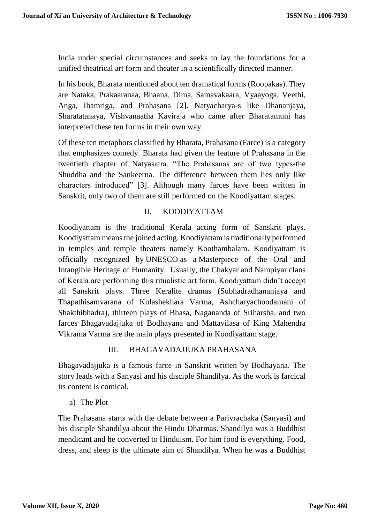India under special circumstances and seeks to lay the foundations for a unified theatrical art form and theater in a scientifically directed manner.

In his book, Bharata mentioned about ten dramatical forms (Roopakas). They are Nataka, Prakaaranaa, Bhaana, Dima, Samavakaara, Vyaayoga, Veethi, Anga, Ihamriga, and Prahasana [2]. Natyacharya-s like Dhananjaya, Sharatatanaya, Vishvanaatha Kaviraja who came after Bharatamuni has interpreted these ten forms in their own way.

Of these ten metaphors classified by Bharata, Prahasana (Farce) is a category that emphasizes comedy. Bharata had given the feature of Prahasana in the twentieth chapter of Natyasatra. "The Prahasanas are of two types-the Shuddha and the Sankeerna. The difference between them lies only like characters introduced" [3]. Although many farces have been written in Sanskrit, only two of them are still performed on the Koodiyattam stages.

# II. KOODIYATTAM

Koodiyattam is the traditional Kerala acting form of Sanskrit plays. Koodiyattam means the joined acting. Koodiyattam is traditionally performed in temples and temple theaters namely Koothambalam. Koodiyattam is officially recognized by [UNESCO](https://en.wikipedia.org/wiki/UNESCO) as a [Masterpiece of the Oral and](https://en.wikipedia.org/wiki/Masterpieces_of_the_Oral_and_Intangible_Heritage_of_Humanity)  [Intangible Heritage of Humanity.](https://en.wikipedia.org/wiki/Masterpieces_of_the_Oral_and_Intangible_Heritage_of_Humanity) Usually, the Chakyar and Nampiyar clans of Kerala are performing this ritualistic art form. Koodiyattam didn't accept all Sanskrit plays. Three Keralite dramas (Subhadradhananjaya and Thapathisamvarana of Kulashekhara Varma, Ashcharyachoodamani of Shakthibhadra), thirteen plays of Bhasa, Nagananda of Sriharsha, and two farces Bhagavadajjuka of Bodhayana and Mattavilasa of King Mahendra Vikrama Varma are the main plays presented in Koodiyattam stage.

#### III. BHAGAVADAJJUKA PRAHASANA

Bhagavadajjuka is a famous farce in Sanskrit written by Bodhayana. The story leads with a Sanyasi and his disciple Shandilya. As the work is farcical its content is comical.

a) The Plot

The Prahasana starts with the debate between a Parivrachaka (Sanyasi) and his disciple Shandilya about the Hindu Dharmas. Shandilya was a Buddhist mendicant and he converted to Hinduism. For him food is everything. Food, dress, and sleep is the ultimate aim of Shandilya. When he was a Buddhist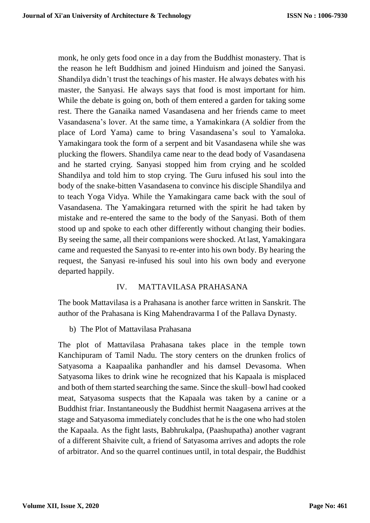monk, he only gets food once in a day from the Buddhist monastery. That is the reason he left Buddhism and joined Hinduism and joined the Sanyasi. Shandilya didn't trust the teachings of his master. He always debates with his master, the Sanyasi. He always says that food is most important for him. While the debate is going on, both of them entered a garden for taking some rest. There the Ganaika named Vasandasena and her friends came to meet Vasandasena's lover. At the same time, a Yamakinkara (A soldier from the place of Lord Yama) came to bring Vasandasena's soul to Yamaloka. Yamakingara took the form of a serpent and bit Vasandasena while she was plucking the flowers. Shandilya came near to the dead body of Vasandasena and he started crying. Sanyasi stopped him from crying and he scolded Shandilya and told him to stop crying. The Guru infused his soul into the body of the snake-bitten Vasandasena to convince his disciple Shandilya and to teach Yoga Vidya. While the Yamakingara came back with the soul of Vasandasena. The Yamakingara returned with the spirit he had taken by mistake and re-entered the same to the body of the Sanyasi. Both of them stood up and spoke to each other differently without changing their bodies. By seeing the same, all their companions were shocked. At last, Yamakingara came and requested the Sanyasi to re-enter into his own body. By hearing the request, the Sanyasi re-infused his soul into his own body and everyone departed happily.

#### IV. MATTAVILASA PRAHASANA

The book Mattavilasa is a Prahasana is another farce written in Sanskrit. The author of the Prahasana is King Mahendravarma I of the Pallava Dynasty.

b) The Plot of Mattavilasa Prahasana

The plot of Mattavilasa Prahasana takes place in the temple town Kanchipuram of Tamil Nadu. The story centers on the drunken frolics of Satyasoma a Kaapaalika panhandler and his damsel Devasoma. When Satyasoma likes to drink wine he recognized that his Kapaala is misplaced and both of them started searching the same. Since the skull–bowl had cooked meat, Satyasoma suspects that the Kapaala was taken by a canine or a Buddhist friar. Instantaneously the Buddhist hermit Naagasena arrives at the stage and Satyasoma immediately concludes that he is the one who had stolen the Kapaala. As the fight lasts, Babhrukalpa, (Paashupatha) another vagrant of a different Shaivite cult, a friend of Satyasoma arrives and adopts the role of arbitrator. And so the quarrel continues until, in total despair, the Buddhist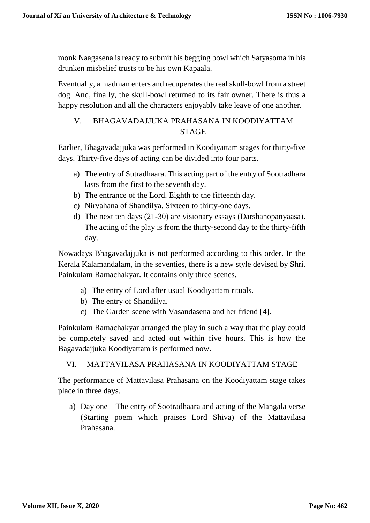monk Naagasena is ready to submit his begging bowl which Satyasoma in his drunken misbelief trusts to be his own Kapaala.

Eventually, a madman enters and recuperates the real skull-bowl from a street dog. And, finally, the skull-bowl returned to its fair owner. There is thus a happy resolution and all the characters enjoyably take leave of one another.

# V. BHAGAVADAJJUKA PRAHASANA IN KOODIYATTAM STAGE

Earlier, Bhagavadajjuka was performed in Koodiyattam stages for thirty-five days. Thirty-five days of acting can be divided into four parts.

- a) The entry of Sutradhaara. This acting part of the entry of Sootradhara lasts from the first to the seventh day.
- b) The entrance of the Lord. Eighth to the fifteenth day.
- c) Nirvahana of Shandilya. Sixteen to thirty-one days.
- d) The next ten days (21-30) are visionary essays (Darshanopanyaasa). The acting of the play is from the thirty-second day to the thirty-fifth day.

Nowadays Bhagavadajjuka is not performed according to this order. In the Kerala Kalamandalam, in the seventies, there is a new style devised by Shri. Painkulam Ramachakyar. It contains only three scenes.

- a) The entry of Lord after usual Koodiyattam rituals.
- b) The entry of Shandilya.
- c) The Garden scene with Vasandasena and her friend [4].

Painkulam Ramachakyar arranged the play in such a way that the play could be completely saved and acted out within five hours. This is how the Bagavadajjuka Koodiyattam is performed now.

# VI. MATTAVILASA PRAHASANA IN KOODIYATTAM STAGE

The performance of Mattavilasa Prahasana on the Koodiyattam stage takes place in three days.

a) Day one – The entry of Sootradhaara and acting of the Mangala verse (Starting poem which praises Lord Shiva) of the Mattavilasa Prahasana.